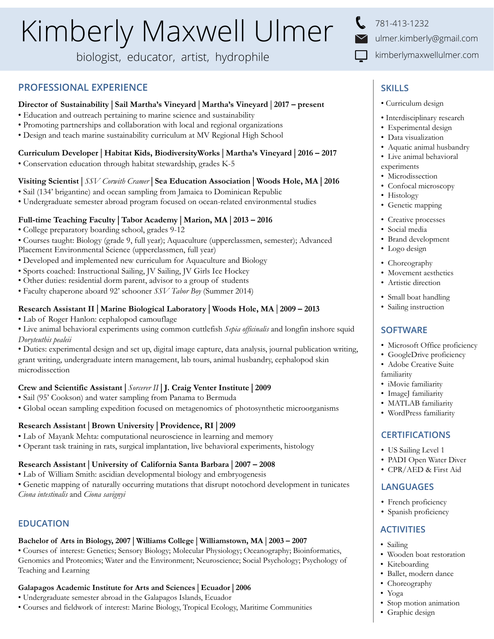# Kimberly Maxwell Ulmer

biologist, educator, artist, hydrophile

## **PROFESSIONAL EXPERIENCE**

## **Director of Sustainability** | **Sail Martha's Vineyard** | **Martha's Vineyard** | **2017 – present**

- Education and outreach pertaining to marine science and sustainability
- Promoting partnerships and collaboration with local and regional organizations
- Design and teach marine sustainability curriculum at MV Regional High School

## **Curriculum Developer** | **Habitat Kids, BiodiversityWorks** | **Martha's Vineyard** | **2016 – 2017**

• Conservation education through habitat stewardship, grades K-5

## **Visiting Scientist** | *SSV Corwith Cramer* | **Sea Education Association** | **Woods Hole, MA** | **2016**

- Sail (134' brigantine) and ocean sampling from Jamaica to Dominican Republic
- Undergraduate semester abroad program focused on ocean-related environmental studies

## **Full-time Teaching Faculty** | **Tabor Academy** | **Marion, MA** | **2013 – 2016**

- College preparatory boarding school, grades 9-12
- Courses taught: Biology (grade 9, full year); Aquaculture (upperclassmen, semester); Advanced Placement Environmental Science (upperclassmen, full year)
- Developed and implemented new curriculum for Aquaculture and Biology
- Sports coached: Instructional Sailing, JV Sailing, JV Girls Ice Hockey
- Other duties: residential dorm parent, advisor to a group of students
- Faculty chaperone aboard 92' schooner *SSV Tabor Boy* (Summer 2014)

## **Research Assistant II** | **Marine Biological Laboratory** | **Woods Hole, MA** | **2009 – 2013**

- Lab of Roger Hanlon: cephalopod camouflage
- Live animal behavioral experiments using common cuttlefish *Sepia officinalis* and longfin inshore squid *Doryteuthis pealeii*

• Duties: experimental design and set up, digital image capture, data analysis, journal publication writing, grant writing, undergraduate intern management, lab tours, animal husbandry, cephalopod skin microdissection

## **Crew and Scientific Assistant** | *Sorcerer II* | **J. Craig Venter Institute** | **2009**

- Sail (95' Cookson) and water sampling from Panama to Bermuda
- Global ocean sampling expedition focused on metagenomics of photosynthetic microorganisms

## **Research Assistant** | **Brown University** | **Providence, RI** | **2009**

- Lab of Mayank Mehta: computational neuroscience in learning and memory
- Operant task training in rats, surgical implantation, live behavioral experiments, histology

## **Research Assistant** | **University of California Santa Barbara** | **2007 – 2008**

• Lab of William Smith: ascidian developmental biology and embryogenesis

• Genetic mapping of naturally occurring mutations that disrupt notochord development in tunicates *Ciona intestinalis* and *Ciona savignyi*

# **EDUCATION**

## **Bachelor of Arts in Biology, 2007** | **Williams College** | **Williamstown, MA** | **2003 – 2007**

• Courses of interest: Genetics; Sensory Biology; Molecular Physiology; Oceanography; Bioinformatics, Genomics and Proteomics; Water and the Environment; Neuroscience; Social Psychology; Psychology of Teaching and Learning

## **Galapagos Academic Institute for Arts and Sciences** | **Ecuador** | **2006**

- Undergraduate semester abroad in the Galapagos Islands, Ecuador
- Courses and fieldwork of interest: Marine Biology, Tropical Ecology, Maritime Communities

781-413-1232 ulmer.kimberly@gmail.com kimberlymaxwellulmer.com

# **SKILLS**

• Curriculum design

- Interdisciplinary research
- Experimental design
- Data visualization
- Aquatic animal husbandry
- Live animal behavioral
- experiments
- Microdissection
- Confocal microscopy
- Histology
- Genetic mapping
- Creative processes
- Social media
- Brand development
- Logo design
- Choreography
- Movement aesthetics
- Artistic direction
- Small boat handling
- Sailing instruction

## **SOFTWARE**

- Microsoft Office proficiency
- GoogleDrive proficiency
- Adobe Creative Suite
- familiarity
- iMovie familiarity
- ImageJ familiarity
- MATLAB familiarity
- WordPress familiarity

## **CERTIFICATIONS**

- US Sailing Level 1
- PADI Open Water Diver
- CPR/AED & First Aid

### **LANGUAGES**

- French proficiency
- Spanish proficiency

## **ACTIVITIES**

- Sailing
- Wooden boat restoration
- Kiteboarding
- Ballet, modern dance
- Choreography
- Yoga

#### • Stop motion animation

• Graphic design